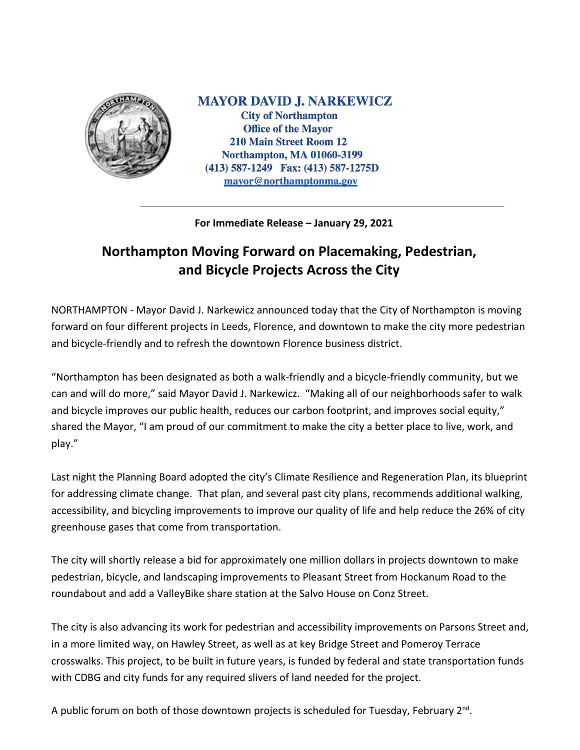

**MAYOR DAVID J. NARKEWICZ City of Northampton Office of the Mayor 210 Main Street Room 12 Northampton, MA 01060-3199** (413) 587-1249 Fax: (413) 587-1275D mayor@northamptonma.gov

## **For Immediate Release – January 29, 2021**

## **Northampton Moving Forward on Placemaking, Pedestrian, and Bicycle Projects Across the City**

NORTHAMPTON - Mayor David J. Narkewicz announced today that the City of Northampton is moving forward on four different projects in Leeds, Florence, and downtown to make the city more pedestrian and bicycle-friendly and to refresh the downtown Florence business district.

"Northampton has been designated as both a walk-friendly and a bicycle-friendly community, but we can and will do more," said Mayor David J. Narkewicz. "Making all of our neighborhoods safer to walk and bicycle improves our public health, reduces our carbon footprint, and improves social equity," shared the Mayor, "I am proud of our commitment to make the city a better place to live, work, and play."

Last night the Planning Board adopted the city's Climate Resilience and Regeneration Plan, its blueprint for addressing climate change. That plan, and several past city plans, recommends additional walking, accessibility, and bicycling improvements to improve our quality of life and help reduce the 26% of city greenhouse gases that come from transportation.

The city will shortly release a bid for approximately one million dollars in projects downtown to make pedestrian, bicycle, and landscaping improvements to Pleasant Street from Hockanum Road to the roundabout and add a ValleyBike share station at the Salvo House on Conz Street.

The city is also advancing its work for pedestrian and accessibility improvements on Parsons Street and, in a more limited way, on Hawley Street, as well as at key Bridge Street and Pomeroy Terrace crosswalks. This project, to be built in future years, is funded by federal and state transportation funds with CDBG and city funds for any required slivers of land needed for the project.

A public forum on both of those downtown projects is scheduled for Tuesday, February 2<sup>nd</sup>.